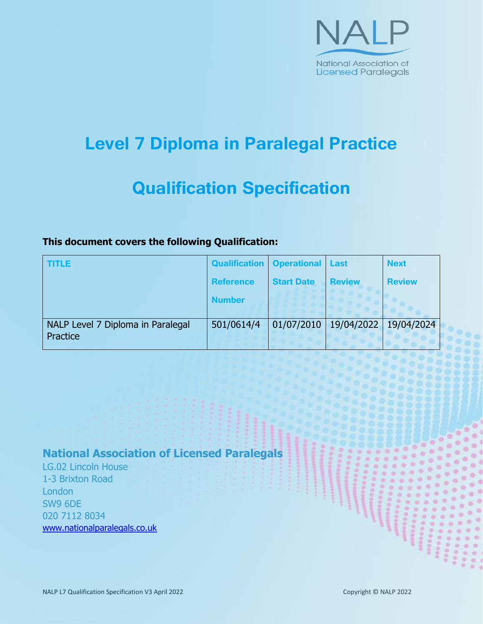

# **Level 7 Diploma in Paralegal Practice**

# **Qualification Specification**

### **This document covers the following Qualification:**

| <b>TITLE</b>                                  | Qualification   Operational   Last |                   |               | <b>Next</b>   |
|-----------------------------------------------|------------------------------------|-------------------|---------------|---------------|
|                                               | Reference                          | <b>Start Date</b> | <b>Review</b> | <b>Review</b> |
|                                               | <b>Number</b>                      |                   |               |               |
| NALP Level 7 Diploma in Paralegal<br>Practice | 501/0614/4                         | 01/07/2010        | 19/04/2022    | 19/04/2024    |

# **National Association of Licensed Paralegals**

LG.02 Lincoln House 1-3 Brixton Road **London** SW9 6DE 020 7112 8034 [www.nationalparalegals.co.uk](http://www.nationalparalegals.co.uk/)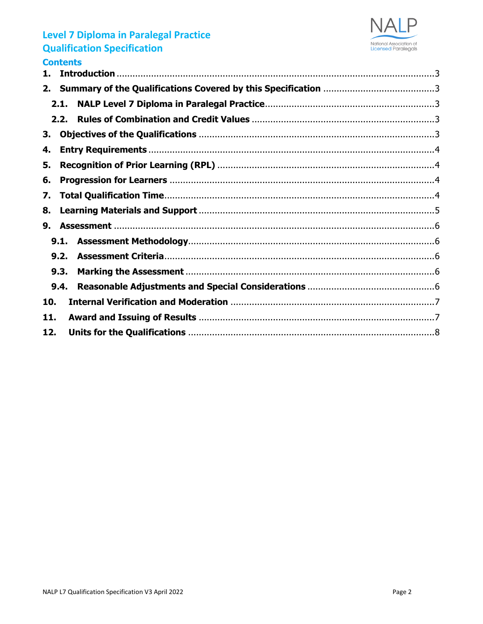

| contents |  |
|----------|--|
| 1.       |  |
| 2.       |  |
| 2.1.     |  |
| 2.2.     |  |
| З.       |  |
| 4.       |  |
| 5.       |  |
| 6.       |  |
| 7.       |  |
| 8.       |  |
| 9.       |  |
| 9.1.     |  |
| 9.2.     |  |
| 9.3.     |  |
| 9.4.     |  |
| 10.      |  |
| 11.      |  |
| 12.      |  |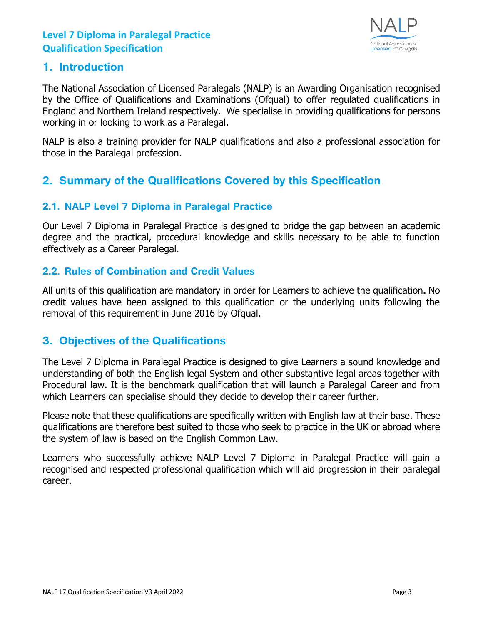

#### <span id="page-2-0"></span>**1. Introduction**

The National Association of Licensed Paralegals (NALP) is an Awarding Organisation recognised by the Office of Qualifications and Examinations (Ofqual) to offer regulated qualifications in England and Northern Ireland respectively. We specialise in providing qualifications for persons working in or looking to work as a Paralegal.

NALP is also a training provider for NALP qualifications and also a professional association for those in the Paralegal profession.

## <span id="page-2-1"></span>**2. Summary of the Qualifications Covered by this Specification**

#### <span id="page-2-2"></span>**2.1. NALP Level 7 Diploma in Paralegal Practice**

Our Level 7 Diploma in Paralegal Practice is designed to bridge the gap between an academic degree and the practical, procedural knowledge and skills necessary to be able to function effectively as a Career Paralegal.

#### <span id="page-2-3"></span>**2.2. Rules of Combination and Credit Values**

All units of this qualification are mandatory in order for Learners to achieve the qualification**.** No credit values have been assigned to this qualification or the underlying units following the removal of this requirement in June 2016 by Ofqual.

## <span id="page-2-4"></span>**3. Objectives of the Qualifications**

The Level 7 Diploma in Paralegal Practice is designed to give Learners a sound knowledge and understanding of both the English legal System and other substantive legal areas together with Procedural law. It is the benchmark qualification that will launch a Paralegal Career and from which Learners can specialise should they decide to develop their career further.

Please note that these qualifications are specifically written with English law at their base. These qualifications are therefore best suited to those who seek to practice in the UK or abroad where the system of law is based on the English Common Law.

Learners who successfully achieve NALP Level 7 Diploma in Paralegal Practice will gain a recognised and respected professional qualification which will aid progression in their paralegal career.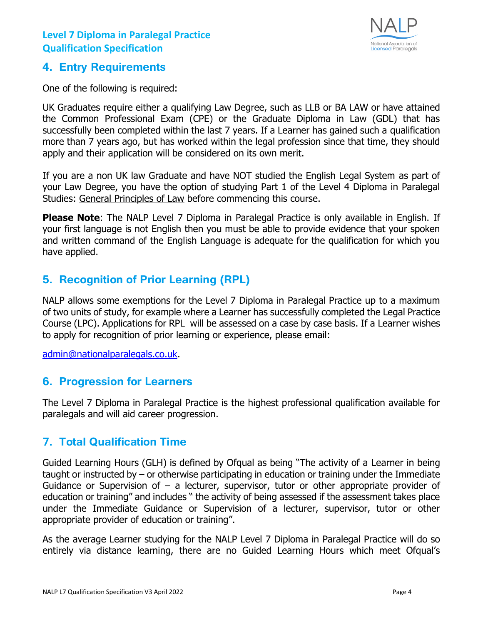

#### <span id="page-3-0"></span>**4. Entry Requirements**

One of the following is required:

UK Graduates require either a qualifying Law Degree, such as LLB or BA LAW or have attained the Common Professional Exam (CPE) or the Graduate Diploma in Law (GDL) that has successfully been completed within the last 7 years. If a Learner has gained such a qualification more than 7 years ago, but has worked within the legal profession since that time, they should apply and their application will be considered on its own merit.

If you are a non UK law Graduate and have NOT studied the English Legal System as part of your Law Degree, you have the option of studying Part 1 of the Level 4 Diploma in Paralegal Studies: [General Principles of Law](http://www.nalptraining.co.uk/level_4_diploma_paralegal_studies) before commencing this course.

**Please Note:** The NALP Level 7 Diploma in Paralegal Practice is only available in English. If your first language is not English then you must be able to provide evidence that your spoken and written command of the English Language is adequate for the qualification for which you have applied.

## <span id="page-3-1"></span>**5. Recognition of Prior Learning (RPL)**

NALP allows some exemptions for the Level 7 Diploma in Paralegal Practice up to a maximum of two units of study, for example where a Learner has successfully completed the Legal Practice Course (LPC). Applications for RPL will be assessed on a case by case basis. If a Learner wishes to apply for recognition of prior learning or experience, please email:

[admin@nationalparalegals.co.uk.](mailto:admin@nationalparalegals.co.uk)

### <span id="page-3-2"></span>**6. Progression for Learners**

The Level 7 Diploma in Paralegal Practice is the highest professional qualification available for paralegals and will aid career progression.

### <span id="page-3-3"></span>**7. Total Qualification Time**

Guided Learning Hours (GLH) is defined by Ofqual as being "The activity of a Learner in being taught or instructed by – or otherwise participating in education or training under the Immediate Guidance or Supervision of  $-$  a lecturer, supervisor, tutor or other appropriate provider of education or training" and includes " the activity of being assessed if the assessment takes place under the Immediate Guidance or Supervision of a lecturer, supervisor, tutor or other appropriate provider of education or training".

As the average Learner studying for the NALP Level 7 Diploma in Paralegal Practice will do so entirely via distance learning, there are no Guided Learning Hours which meet Ofqual's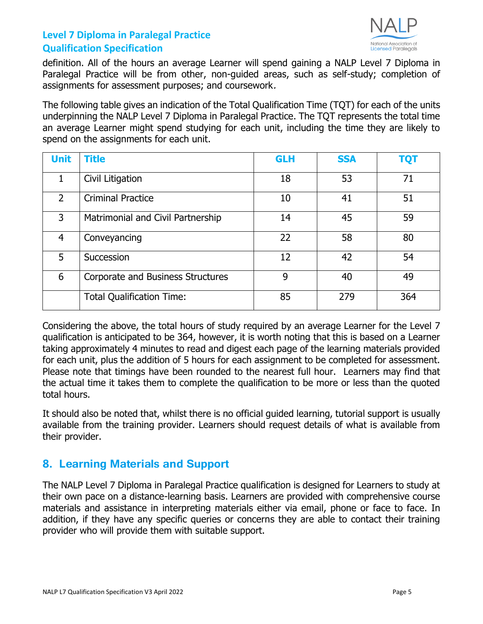

definition. All of the hours an average Learner will spend gaining a NALP Level 7 Diploma in Paralegal Practice will be from other, non-guided areas, such as self-study; completion of assignments for assessment purposes; and coursework.

The following table gives an indication of the Total Qualification Time (TQT) for each of the units underpinning the NALP Level 7 Diploma in Paralegal Practice. The TQT represents the total time an average Learner might spend studying for each unit, including the time they are likely to spend on the assignments for each unit.

| <b>Unit</b>    | <b>Title</b>                      | <b>GLH</b> | <b>SSA</b> | <b>TQT</b> |
|----------------|-----------------------------------|------------|------------|------------|
| 1              | Civil Litigation                  | 18         | 53         | 71         |
| $\overline{2}$ | <b>Criminal Practice</b>          | 10         | 41         | 51         |
| 3              | Matrimonial and Civil Partnership | 14         | 45         | 59         |
| $\overline{4}$ | Conveyancing                      | 22         | 58         | 80         |
| 5              | Succession                        | 12         | 42         | 54         |
| 6              | Corporate and Business Structures | 9          | 40         | 49         |
|                | <b>Total Qualification Time:</b>  | 85         | 279        | 364        |

Considering the above, the total hours of study required by an average Learner for the Level 7 qualification is anticipated to be 364, however, it is worth noting that this is based on a Learner taking approximately 4 minutes to read and digest each page of the learning materials provided for each unit, plus the addition of 5 hours for each assignment to be completed for assessment. Please note that timings have been rounded to the nearest full hour. Learners may find that the actual time it takes them to complete the qualification to be more or less than the quoted total hours.

It should also be noted that, whilst there is no official guided learning, tutorial support is usually available from the training provider. Learners should request details of what is available from their provider.

## <span id="page-4-0"></span>**8. Learning Materials and Support**

The NALP Level 7 Diploma in Paralegal Practice qualification is designed for Learners to study at their own pace on a distance-learning basis. Learners are provided with comprehensive course materials and assistance in interpreting materials either via email, phone or face to face. In addition, if they have any specific queries or concerns they are able to contact their training provider who will provide them with suitable support.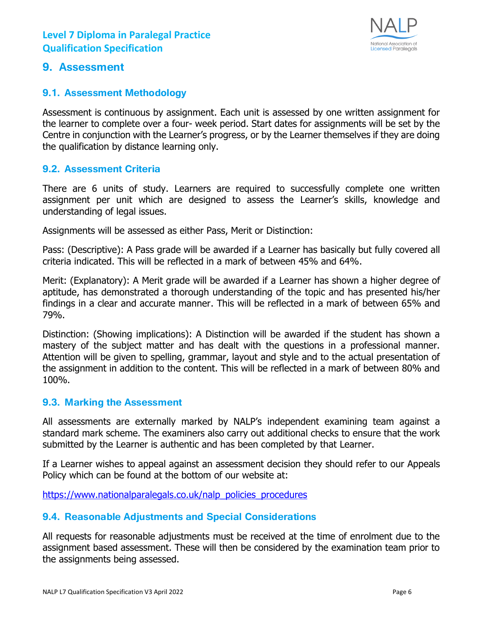

#### <span id="page-5-0"></span>**9. Assessment**

#### <span id="page-5-1"></span>**9.1. Assessment Methodology**

Assessment is continuous by assignment. Each unit is assessed by one written assignment for the learner to complete over a four- week period. Start dates for assignments will be set by the Centre in conjunction with the Learner's progress, or by the Learner themselves if they are doing the qualification by distance learning only.

#### <span id="page-5-2"></span>**9.2. Assessment Criteria**

There are 6 units of study. Learners are required to successfully complete one written assignment per unit which are designed to assess the Learner's skills, knowledge and understanding of legal issues.

Assignments will be assessed as either Pass, Merit or Distinction:

Pass: (Descriptive): A Pass grade will be awarded if a Learner has basically but fully covered all criteria indicated. This will be reflected in a mark of between 45% and 64%.

Merit: (Explanatory): A Merit grade will be awarded if a Learner has shown a higher degree of aptitude, has demonstrated a thorough understanding of the topic and has presented his/her findings in a clear and accurate manner. This will be reflected in a mark of between 65% and 79%.

Distinction: (Showing implications): A Distinction will be awarded if the student has shown a mastery of the subject matter and has dealt with the questions in a professional manner. Attention will be given to spelling, grammar, layout and style and to the actual presentation of the assignment in addition to the content. This will be reflected in a mark of between 80% and 100%.

#### <span id="page-5-3"></span>**9.3. Marking the Assessment**

All assessments are externally marked by NALP's independent examining team against a standard mark scheme. The examiners also carry out additional checks to ensure that the work submitted by the Learner is authentic and has been completed by that Learner.

If a Learner wishes to appeal against an assessment decision they should refer to our Appeals Policy which can be found at the bottom of our website at:

[https://www.nationalparalegals.co.uk/n](https://www.nationalparalegals.co.uk/)alp\_policies\_procedures

#### <span id="page-5-4"></span>**9.4. Reasonable Adjustments and Special Considerations**

All requests for reasonable adjustments must be received at the time of enrolment due to the assignment based assessment. These will then be considered by the examination team prior to the assignments being assessed.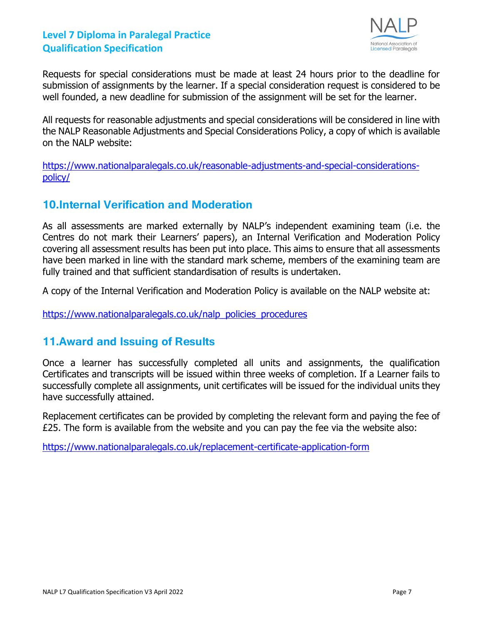

Requests for special considerations must be made at least 24 hours prior to the deadline for submission of assignments by the learner. If a special consideration request is considered to be well founded, a new deadline for submission of the assignment will be set for the learner.

All requests for reasonable adjustments and special considerations will be considered in line with the NALP Reasonable Adjustments and Special Considerations Policy, a copy of which is available on the NALP website:

[https://www.nationalparalegals.co.uk/reasonable-adjustments-and-special-considerations](https://www.nationalparalegals.co.uk/reasonable-adjustments-and-special-considerations-policy/)[policy/](https://www.nationalparalegals.co.uk/reasonable-adjustments-and-special-considerations-policy/)

## <span id="page-6-0"></span>**10.Internal Verification and Moderation**

As all assessments are marked externally by NALP's independent examining team (i.e. the Centres do not mark their Learners' papers), an Internal Verification and Moderation Policy covering all assessment results has been put into place. This aims to ensure that all assessments have been marked in line with the standard mark scheme, members of the examining team are fully trained and that sufficient standardisation of results is undertaken.

A copy of the Internal Verification and Moderation Policy is available on the NALP website at:

[https://www.nationalparalegals.co.uk/n](https://www.nationalparalegals.co.uk/)alp\_policies\_procedures

## <span id="page-6-1"></span>**11.Award and Issuing of Results**

Once a learner has successfully completed all units and assignments, the qualification Certificates and transcripts will be issued within three weeks of completion. If a Learner fails to successfully complete all assignments, unit certificates will be issued for the individual units they have successfully attained.

Replacement certificates can be provided by completing the relevant form and paying the fee of £25. The form is available from the website and you can pay the fee via the website also:

<https://www.nationalparalegals.co.uk/replacement-certificate-application-form>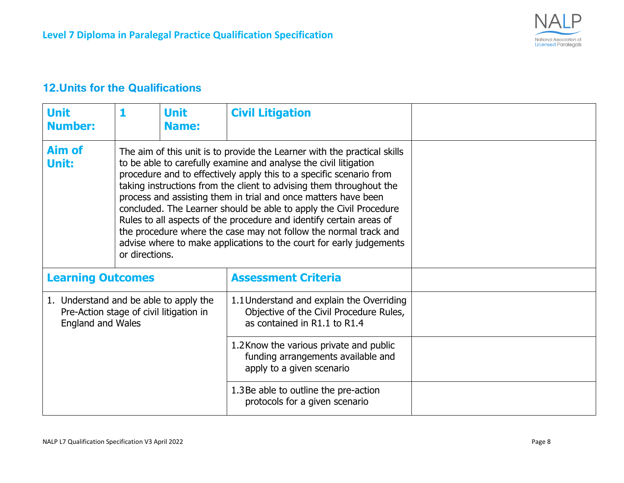

## **12.Units for the Qualifications**

<span id="page-7-0"></span>

| <b>Unit</b><br><b>Number:</b>                                                                                 | 1              | <b>Unit</b><br><b>Name:</b> | <b>Civil Litigation</b>                                                                                                                                                                                                                                                                                                                                                                                                                                                                                                                                                                                                                              |  |
|---------------------------------------------------------------------------------------------------------------|----------------|-----------------------------|------------------------------------------------------------------------------------------------------------------------------------------------------------------------------------------------------------------------------------------------------------------------------------------------------------------------------------------------------------------------------------------------------------------------------------------------------------------------------------------------------------------------------------------------------------------------------------------------------------------------------------------------------|--|
| <b>Aim of</b><br>Unit:                                                                                        | or directions. |                             | The aim of this unit is to provide the Learner with the practical skills<br>to be able to carefully examine and analyse the civil litigation<br>procedure and to effectively apply this to a specific scenario from<br>taking instructions from the client to advising them throughout the<br>process and assisting them in trial and once matters have been<br>concluded. The Learner should be able to apply the Civil Procedure<br>Rules to all aspects of the procedure and identify certain areas of<br>the procedure where the case may not follow the normal track and<br>advise where to make applications to the court for early judgements |  |
| <b>Learning Outcomes</b>                                                                                      |                |                             | <b>Assessment Criteria</b>                                                                                                                                                                                                                                                                                                                                                                                                                                                                                                                                                                                                                           |  |
| 1. Understand and be able to apply the<br>Pre-Action stage of civil litigation in<br><b>England and Wales</b> |                |                             | 1.1 Understand and explain the Overriding<br>Objective of the Civil Procedure Rules,<br>as contained in R1.1 to R1.4                                                                                                                                                                                                                                                                                                                                                                                                                                                                                                                                 |  |
|                                                                                                               |                |                             | 1.2 Know the various private and public<br>funding arrangements available and<br>apply to a given scenario                                                                                                                                                                                                                                                                                                                                                                                                                                                                                                                                           |  |
|                                                                                                               |                |                             | 1.3 Be able to outline the pre-action<br>protocols for a given scenario                                                                                                                                                                                                                                                                                                                                                                                                                                                                                                                                                                              |  |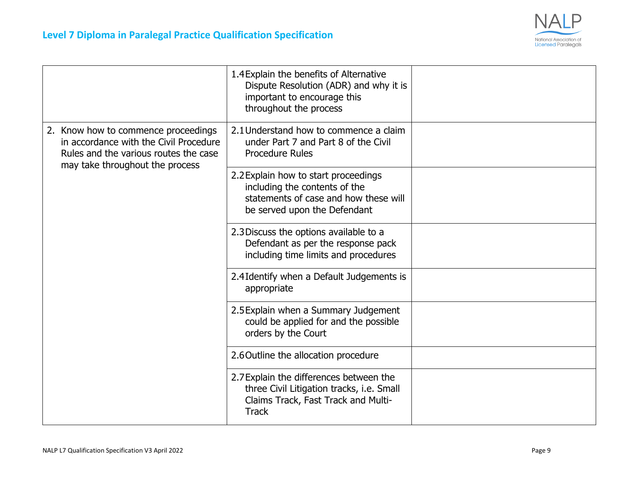

|                                                                                                                                                           | 1.4 Explain the benefits of Alternative<br>Dispute Resolution (ADR) and why it is<br>important to encourage this<br>throughout the process     |  |
|-----------------------------------------------------------------------------------------------------------------------------------------------------------|------------------------------------------------------------------------------------------------------------------------------------------------|--|
| 2. Know how to commence proceedings<br>in accordance with the Civil Procedure<br>Rules and the various routes the case<br>may take throughout the process | 2.1 Understand how to commence a claim<br>under Part 7 and Part 8 of the Civil<br><b>Procedure Rules</b>                                       |  |
|                                                                                                                                                           | 2.2 Explain how to start proceedings<br>including the contents of the<br>statements of case and how these will<br>be served upon the Defendant |  |
|                                                                                                                                                           | 2.3 Discuss the options available to a<br>Defendant as per the response pack<br>including time limits and procedures                           |  |
|                                                                                                                                                           | 2.4 Identify when a Default Judgements is<br>appropriate                                                                                       |  |
|                                                                                                                                                           | 2.5 Explain when a Summary Judgement<br>could be applied for and the possible<br>orders by the Court                                           |  |
|                                                                                                                                                           | 2.6 Outline the allocation procedure                                                                                                           |  |
|                                                                                                                                                           | 2.7 Explain the differences between the<br>three Civil Litigation tracks, i.e. Small<br>Claims Track, Fast Track and Multi-<br><b>Track</b>    |  |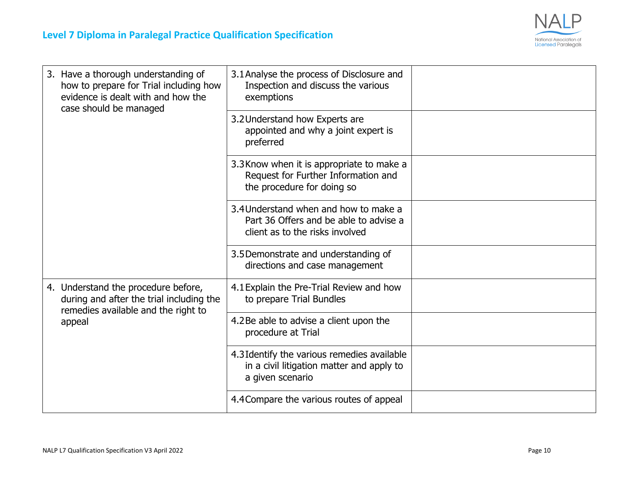

| 3. Have a thorough understanding of<br>how to prepare for Trial including how<br>evidence is dealt with and how the<br>case should be managed | 3.1 Analyse the process of Disclosure and<br>Inspection and discuss the various<br>exemptions                      |  |
|-----------------------------------------------------------------------------------------------------------------------------------------------|--------------------------------------------------------------------------------------------------------------------|--|
|                                                                                                                                               | 3.2 Understand how Experts are<br>appointed and why a joint expert is<br>preferred                                 |  |
|                                                                                                                                               | 3.3 Know when it is appropriate to make a<br>Request for Further Information and<br>the procedure for doing so     |  |
|                                                                                                                                               | 3.4 Understand when and how to make a<br>Part 36 Offers and be able to advise a<br>client as to the risks involved |  |
|                                                                                                                                               | 3.5 Demonstrate and understanding of<br>directions and case management                                             |  |
| 4. Understand the procedure before,<br>during and after the trial including the<br>remedies available and the right to                        | 4.1 Explain the Pre-Trial Review and how<br>to prepare Trial Bundles                                               |  |
| appeal                                                                                                                                        | 4.2Be able to advise a client upon the<br>procedure at Trial                                                       |  |
|                                                                                                                                               | 4.3 Identify the various remedies available<br>in a civil litigation matter and apply to<br>a given scenario       |  |
|                                                                                                                                               | 4.4 Compare the various routes of appeal                                                                           |  |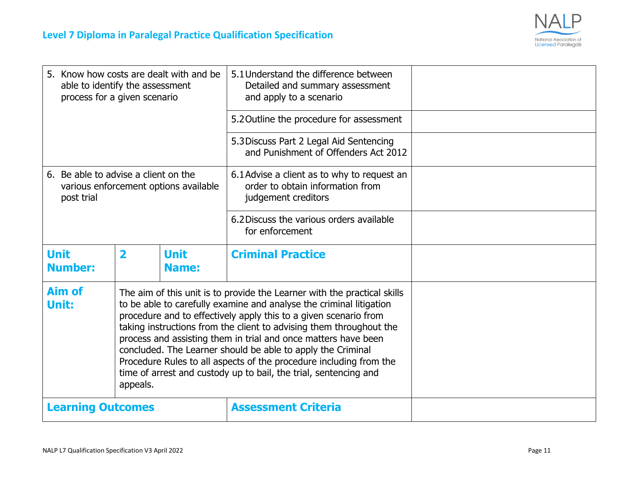

| 5. Know how costs are dealt with and be<br>able to identify the assessment<br>process for a given scenario                                                                                                                                                                                                                                                                                                                                                                                                                                                                                                  |                         |                             | 5.1 Understand the difference between<br>Detailed and summary assessment<br>and apply to a scenario    |  |
|-------------------------------------------------------------------------------------------------------------------------------------------------------------------------------------------------------------------------------------------------------------------------------------------------------------------------------------------------------------------------------------------------------------------------------------------------------------------------------------------------------------------------------------------------------------------------------------------------------------|-------------------------|-----------------------------|--------------------------------------------------------------------------------------------------------|--|
|                                                                                                                                                                                                                                                                                                                                                                                                                                                                                                                                                                                                             |                         |                             | 5.2 Outline the procedure for assessment                                                               |  |
|                                                                                                                                                                                                                                                                                                                                                                                                                                                                                                                                                                                                             |                         |                             | 5.3 Discuss Part 2 Legal Aid Sentencing<br>and Punishment of Offenders Act 2012                        |  |
| 6. Be able to advise a client on the<br>various enforcement options available<br>post trial                                                                                                                                                                                                                                                                                                                                                                                                                                                                                                                 |                         |                             | 6.1 Advise a client as to why to request an<br>order to obtain information from<br>judgement creditors |  |
|                                                                                                                                                                                                                                                                                                                                                                                                                                                                                                                                                                                                             |                         |                             | 6.2 Discuss the various orders available<br>for enforcement                                            |  |
| <b>Unit</b><br><b>Number:</b>                                                                                                                                                                                                                                                                                                                                                                                                                                                                                                                                                                               | $\overline{\mathbf{2}}$ | <b>Unit</b><br><b>Name:</b> | <b>Criminal Practice</b>                                                                               |  |
| <b>Aim of</b><br>The aim of this unit is to provide the Learner with the practical skills<br>Unit:<br>to be able to carefully examine and analyse the criminal litigation<br>procedure and to effectively apply this to a given scenario from<br>taking instructions from the client to advising them throughout the<br>process and assisting them in trial and once matters have been<br>concluded. The Learner should be able to apply the Criminal<br>Procedure Rules to all aspects of the procedure including from the<br>time of arrest and custody up to bail, the trial, sentencing and<br>appeals. |                         |                             |                                                                                                        |  |
| <b>Learning Outcomes</b>                                                                                                                                                                                                                                                                                                                                                                                                                                                                                                                                                                                    |                         |                             | <b>Assessment Criteria</b>                                                                             |  |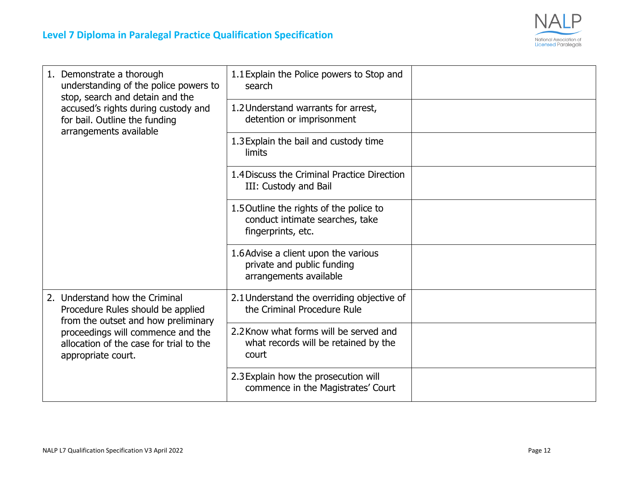

| 1. Demonstrate a thorough<br>understanding of the police powers to<br>stop, search and detain and the      | 1.1 Explain the Police powers to Stop and<br>search                                              |  |
|------------------------------------------------------------------------------------------------------------|--------------------------------------------------------------------------------------------------|--|
| accused's rights during custody and<br>for bail. Outline the funding<br>arrangements available             | 1.2 Understand warrants for arrest,<br>detention or imprisonment                                 |  |
|                                                                                                            | 1.3 Explain the bail and custody time<br>limits                                                  |  |
|                                                                                                            | 1.4 Discuss the Criminal Practice Direction<br>III: Custody and Bail                             |  |
|                                                                                                            | 1.5 Outline the rights of the police to<br>conduct intimate searches, take<br>fingerprints, etc. |  |
|                                                                                                            | 1.6 Advise a client upon the various<br>private and public funding<br>arrangements available     |  |
| 2. Understand how the Criminal<br>Procedure Rules should be applied<br>from the outset and how preliminary | 2.1 Understand the overriding objective of<br>the Criminal Procedure Rule                        |  |
| proceedings will commence and the<br>allocation of the case for trial to the<br>appropriate court.         | 2.2 Know what forms will be served and<br>what records will be retained by the<br>court          |  |
|                                                                                                            | 2.3 Explain how the prosecution will<br>commence in the Magistrates' Court                       |  |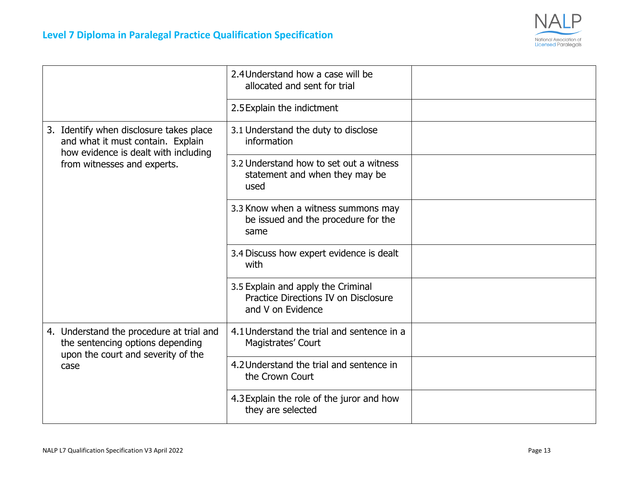

|                                                                                                                      | 2.4 Understand how a case will be<br>allocated and sent for trial                               |  |
|----------------------------------------------------------------------------------------------------------------------|-------------------------------------------------------------------------------------------------|--|
|                                                                                                                      | 2.5 Explain the indictment                                                                      |  |
| 3. Identify when disclosure takes place<br>and what it must contain. Explain<br>how evidence is dealt with including | 3.1 Understand the duty to disclose<br>information                                              |  |
| from witnesses and experts.                                                                                          | 3.2 Understand how to set out a witness<br>statement and when they may be<br>used               |  |
|                                                                                                                      | 3.3 Know when a witness summons may<br>be issued and the procedure for the<br>same              |  |
|                                                                                                                      | 3.4 Discuss how expert evidence is dealt<br>with                                                |  |
|                                                                                                                      | 3.5 Explain and apply the Criminal<br>Practice Directions IV on Disclosure<br>and V on Evidence |  |
| 4. Understand the procedure at trial and<br>the sentencing options depending<br>upon the court and severity of the   | 4.1 Understand the trial and sentence in a<br>Magistrates' Court                                |  |
| case                                                                                                                 | 4.2 Understand the trial and sentence in<br>the Crown Court                                     |  |
|                                                                                                                      | 4.3 Explain the role of the juror and how<br>they are selected                                  |  |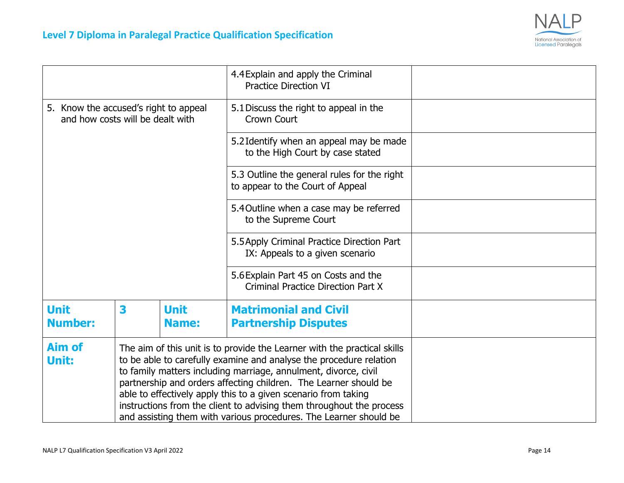

|                                                                                                                                                                                                                                                                                                                                                                                                                                                                                                                                |   |                             | 4.4 Explain and apply the Criminal<br><b>Practice Direction VI</b>                |  |
|--------------------------------------------------------------------------------------------------------------------------------------------------------------------------------------------------------------------------------------------------------------------------------------------------------------------------------------------------------------------------------------------------------------------------------------------------------------------------------------------------------------------------------|---|-----------------------------|-----------------------------------------------------------------------------------|--|
| 5. Know the accused's right to appeal<br>and how costs will be dealt with                                                                                                                                                                                                                                                                                                                                                                                                                                                      |   |                             | 5.1 Discuss the right to appeal in the<br><b>Crown Court</b>                      |  |
|                                                                                                                                                                                                                                                                                                                                                                                                                                                                                                                                |   |                             | 5.2 Identify when an appeal may be made<br>to the High Court by case stated       |  |
|                                                                                                                                                                                                                                                                                                                                                                                                                                                                                                                                |   |                             | 5.3 Outline the general rules for the right<br>to appear to the Court of Appeal   |  |
|                                                                                                                                                                                                                                                                                                                                                                                                                                                                                                                                |   |                             | 5.4 Outline when a case may be referred<br>to the Supreme Court                   |  |
|                                                                                                                                                                                                                                                                                                                                                                                                                                                                                                                                |   |                             | 5.5 Apply Criminal Practice Direction Part<br>IX: Appeals to a given scenario     |  |
|                                                                                                                                                                                                                                                                                                                                                                                                                                                                                                                                |   |                             | 5.6 Explain Part 45 on Costs and the<br><b>Criminal Practice Direction Part X</b> |  |
| <b>Unit</b><br><b>Number:</b>                                                                                                                                                                                                                                                                                                                                                                                                                                                                                                  | 3 | <b>Unit</b><br><b>Name:</b> | <b>Matrimonial and Civil</b><br><b>Partnership Disputes</b>                       |  |
| <b>Aim of</b><br>The aim of this unit is to provide the Learner with the practical skills<br>to be able to carefully examine and analyse the procedure relation<br>Unit:<br>to family matters including marriage, annulment, divorce, civil<br>partnership and orders affecting children. The Learner should be<br>able to effectively apply this to a given scenario from taking<br>instructions from the client to advising them throughout the process<br>and assisting them with various procedures. The Learner should be |   |                             |                                                                                   |  |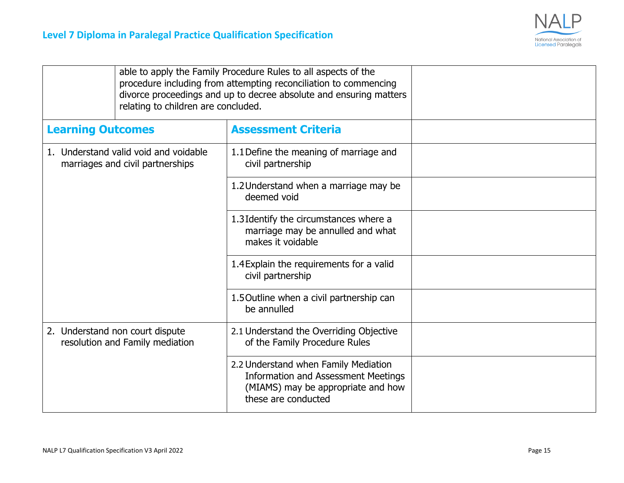

| relating to children are concluded.                                       | able to apply the Family Procedure Rules to all aspects of the<br>procedure including from attempting reconciliation to commencing<br>divorce proceedings and up to decree absolute and ensuring matters |  |
|---------------------------------------------------------------------------|----------------------------------------------------------------------------------------------------------------------------------------------------------------------------------------------------------|--|
| <b>Learning Outcomes</b>                                                  | <b>Assessment Criteria</b>                                                                                                                                                                               |  |
| 1. Understand valid void and voidable<br>marriages and civil partnerships | 1.1 Define the meaning of marriage and<br>civil partnership                                                                                                                                              |  |
|                                                                           | 1.2 Understand when a marriage may be<br>deemed void                                                                                                                                                     |  |
|                                                                           | 1.3 Identify the circumstances where a<br>marriage may be annulled and what<br>makes it voidable                                                                                                         |  |
|                                                                           | 1.4 Explain the requirements for a valid<br>civil partnership                                                                                                                                            |  |
|                                                                           | 1.5 Outline when a civil partnership can<br>be annulled                                                                                                                                                  |  |
| 2. Understand non court dispute<br>resolution and Family mediation        | 2.1 Understand the Overriding Objective<br>of the Family Procedure Rules                                                                                                                                 |  |
|                                                                           | 2.2 Understand when Family Mediation<br><b>Information and Assessment Meetings</b><br>(MIAMS) may be appropriate and how<br>these are conducted                                                          |  |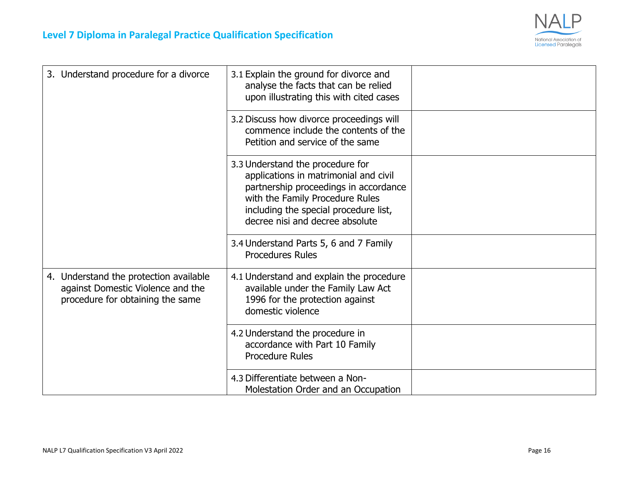

| 3. Understand procedure for a divorce                                                                           | 3.1 Explain the ground for divorce and<br>analyse the facts that can be relied<br>upon illustrating this with cited cases                                                                                                         |  |
|-----------------------------------------------------------------------------------------------------------------|-----------------------------------------------------------------------------------------------------------------------------------------------------------------------------------------------------------------------------------|--|
|                                                                                                                 | 3.2 Discuss how divorce proceedings will<br>commence include the contents of the<br>Petition and service of the same                                                                                                              |  |
|                                                                                                                 | 3.3 Understand the procedure for<br>applications in matrimonial and civil<br>partnership proceedings in accordance<br>with the Family Procedure Rules<br>including the special procedure list,<br>decree nisi and decree absolute |  |
|                                                                                                                 | 3.4 Understand Parts 5, 6 and 7 Family<br><b>Procedures Rules</b>                                                                                                                                                                 |  |
| 4. Understand the protection available<br>against Domestic Violence and the<br>procedure for obtaining the same | 4.1 Understand and explain the procedure<br>available under the Family Law Act<br>1996 for the protection against<br>domestic violence                                                                                            |  |
|                                                                                                                 | 4.2 Understand the procedure in<br>accordance with Part 10 Family<br><b>Procedure Rules</b>                                                                                                                                       |  |
|                                                                                                                 | 4.3 Differentiate between a Non-<br>Molestation Order and an Occupation                                                                                                                                                           |  |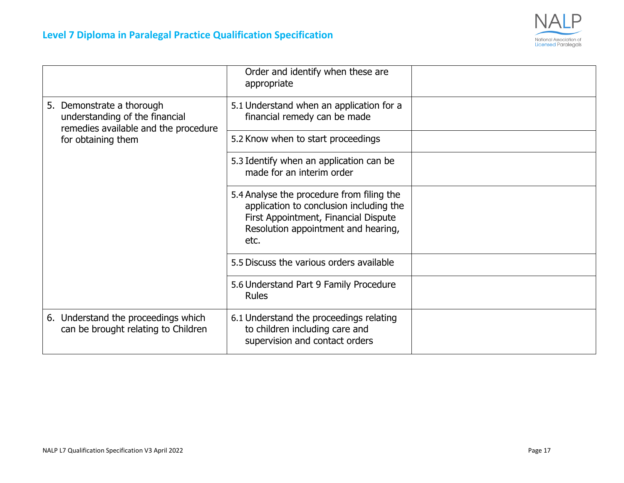

|                                                                                                     | Order and identify when these are<br>appropriate                                                                                                                            |  |
|-----------------------------------------------------------------------------------------------------|-----------------------------------------------------------------------------------------------------------------------------------------------------------------------------|--|
| 5. Demonstrate a thorough<br>understanding of the financial<br>remedies available and the procedure | 5.1 Understand when an application for a<br>financial remedy can be made                                                                                                    |  |
| for obtaining them                                                                                  | 5.2 Know when to start proceedings                                                                                                                                          |  |
|                                                                                                     | 5.3 Identify when an application can be<br>made for an interim order                                                                                                        |  |
|                                                                                                     | 5.4 Analyse the procedure from filing the<br>application to conclusion including the<br>First Appointment, Financial Dispute<br>Resolution appointment and hearing,<br>etc. |  |
|                                                                                                     | 5.5 Discuss the various orders available                                                                                                                                    |  |
|                                                                                                     | 5.6 Understand Part 9 Family Procedure<br><b>Rules</b>                                                                                                                      |  |
| 6. Understand the proceedings which<br>can be brought relating to Children                          | 6.1 Understand the proceedings relating<br>to children including care and<br>supervision and contact orders                                                                 |  |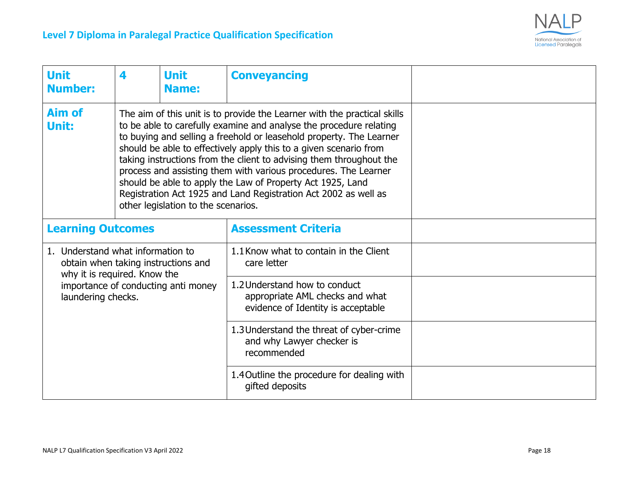

| <b>Unit</b><br><b>Number:</b>                                                                                                                                                                                                                                                                                                                                                                                                                                                                                                                                                                                                   | 4                                   | <b>Unit</b><br><b>Name:</b>                                                                            | <b>Conveyancing</b>                                                                  |  |
|---------------------------------------------------------------------------------------------------------------------------------------------------------------------------------------------------------------------------------------------------------------------------------------------------------------------------------------------------------------------------------------------------------------------------------------------------------------------------------------------------------------------------------------------------------------------------------------------------------------------------------|-------------------------------------|--------------------------------------------------------------------------------------------------------|--------------------------------------------------------------------------------------|--|
| Aim of<br>The aim of this unit is to provide the Learner with the practical skills<br>to be able to carefully examine and analyse the procedure relating<br>Unit:<br>to buying and selling a freehold or leasehold property. The Learner<br>should be able to effectively apply this to a given scenario from<br>taking instructions from the client to advising them throughout the<br>process and assisting them with various procedures. The Learner<br>should be able to apply the Law of Property Act 1925, Land<br>Registration Act 1925 and Land Registration Act 2002 as well as<br>other legislation to the scenarios. |                                     |                                                                                                        |                                                                                      |  |
| <b>Learning Outcomes</b>                                                                                                                                                                                                                                                                                                                                                                                                                                                                                                                                                                                                        |                                     |                                                                                                        | <b>Assessment Criteria</b>                                                           |  |
| 1. Understand what information to<br>obtain when taking instructions and<br>why it is required. Know the                                                                                                                                                                                                                                                                                                                                                                                                                                                                                                                        |                                     |                                                                                                        | 1.1 Know what to contain in the Client<br>care letter                                |  |
| laundering checks.                                                                                                                                                                                                                                                                                                                                                                                                                                                                                                                                                                                                              | importance of conducting anti money | 1.2 Understand how to conduct<br>appropriate AML checks and what<br>evidence of Identity is acceptable |                                                                                      |  |
|                                                                                                                                                                                                                                                                                                                                                                                                                                                                                                                                                                                                                                 |                                     |                                                                                                        | 1.3 Understand the threat of cyber-crime<br>and why Lawyer checker is<br>recommended |  |
|                                                                                                                                                                                                                                                                                                                                                                                                                                                                                                                                                                                                                                 |                                     | 1.4 Outline the procedure for dealing with<br>gifted deposits                                          |                                                                                      |  |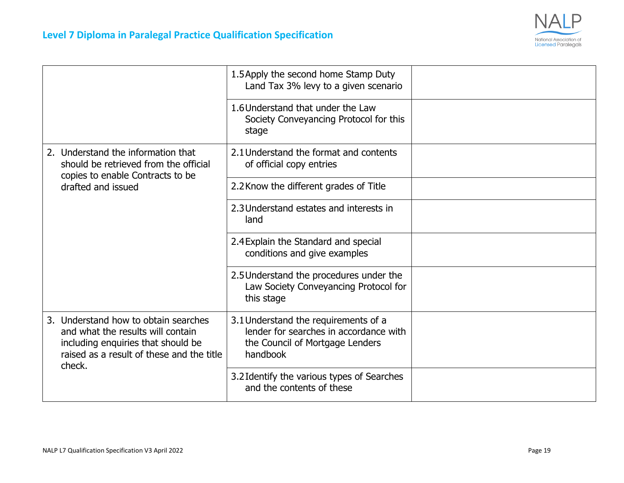

|                                                                                                                                                                        | 1.5 Apply the second home Stamp Duty<br>Land Tax 3% levy to a given scenario                                                  |  |
|------------------------------------------------------------------------------------------------------------------------------------------------------------------------|-------------------------------------------------------------------------------------------------------------------------------|--|
|                                                                                                                                                                        | 1.6 Understand that under the Law<br>Society Conveyancing Protocol for this<br>stage                                          |  |
| 2. Understand the information that<br>should be retrieved from the official<br>copies to enable Contracts to be                                                        | 2.1 Understand the format and contents<br>of official copy entries                                                            |  |
| drafted and issued                                                                                                                                                     | 2.2 Know the different grades of Title                                                                                        |  |
|                                                                                                                                                                        | 2.3 Understand estates and interests in<br>land                                                                               |  |
|                                                                                                                                                                        | 2.4 Explain the Standard and special<br>conditions and give examples                                                          |  |
|                                                                                                                                                                        | 2.5 Understand the procedures under the<br>Law Society Conveyancing Protocol for<br>this stage                                |  |
| 3. Understand how to obtain searches<br>and what the results will contain<br>including enquiries that should be<br>raised as a result of these and the title<br>check. | 3.1 Understand the requirements of a<br>lender for searches in accordance with<br>the Council of Mortgage Lenders<br>handbook |  |
|                                                                                                                                                                        | 3.2 Identify the various types of Searches<br>and the contents of these                                                       |  |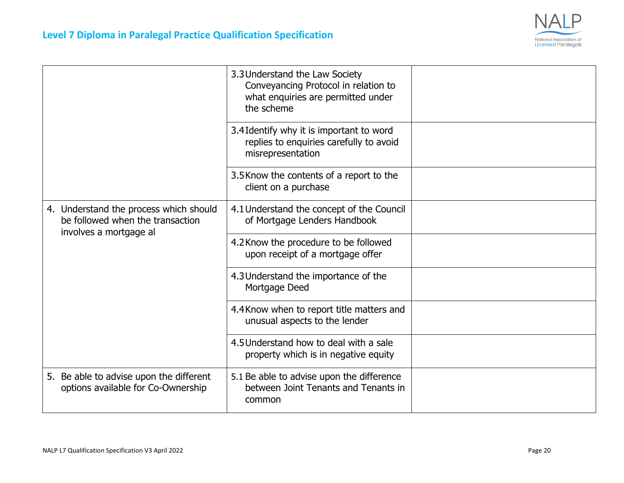

|                                                                                                      | 3.3 Understand the Law Society<br>Conveyancing Protocol in relation to<br>what enquiries are permitted under<br>the scheme |  |
|------------------------------------------------------------------------------------------------------|----------------------------------------------------------------------------------------------------------------------------|--|
|                                                                                                      | 3.4 Identify why it is important to word<br>replies to enquiries carefully to avoid<br>misrepresentation                   |  |
|                                                                                                      | 3.5 Know the contents of a report to the<br>client on a purchase                                                           |  |
| 4. Understand the process which should<br>be followed when the transaction<br>involves a mortgage al | 4.1 Understand the concept of the Council<br>of Mortgage Lenders Handbook                                                  |  |
|                                                                                                      | 4.2 Know the procedure to be followed<br>upon receipt of a mortgage offer                                                  |  |
|                                                                                                      | 4.3 Understand the importance of the<br>Mortgage Deed                                                                      |  |
|                                                                                                      | 4.4 Know when to report title matters and<br>unusual aspects to the lender                                                 |  |
|                                                                                                      | 4.5 Understand how to deal with a sale<br>property which is in negative equity                                             |  |
| 5. Be able to advise upon the different<br>options available for Co-Ownership                        | 5.1 Be able to advise upon the difference<br>between Joint Tenants and Tenants in<br>common                                |  |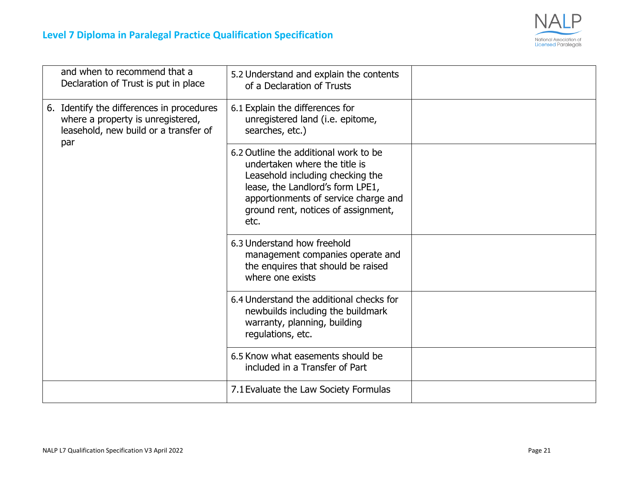

| and when to recommend that a<br>Declaration of Trust is put in place                                                           | 5.2 Understand and explain the contents<br>of a Declaration of Trusts                                                                                                                                                                 |  |
|--------------------------------------------------------------------------------------------------------------------------------|---------------------------------------------------------------------------------------------------------------------------------------------------------------------------------------------------------------------------------------|--|
| 6. Identify the differences in procedures<br>where a property is unregistered,<br>leasehold, new build or a transfer of<br>par | 6.1 Explain the differences for<br>unregistered land (i.e. epitome,<br>searches, etc.)                                                                                                                                                |  |
|                                                                                                                                | 6.2 Outline the additional work to be<br>undertaken where the title is<br>Leasehold including checking the<br>lease, the Landlord's form LPE1,<br>apportionments of service charge and<br>ground rent, notices of assignment,<br>etc. |  |
|                                                                                                                                | 6.3 Understand how freehold<br>management companies operate and<br>the enquires that should be raised<br>where one exists                                                                                                             |  |
|                                                                                                                                | 6.4 Understand the additional checks for<br>newbuilds including the buildmark<br>warranty, planning, building<br>regulations, etc.                                                                                                    |  |
|                                                                                                                                | 6.5 Know what easements should be<br>included in a Transfer of Part                                                                                                                                                                   |  |
|                                                                                                                                | 7.1 Evaluate the Law Society Formulas                                                                                                                                                                                                 |  |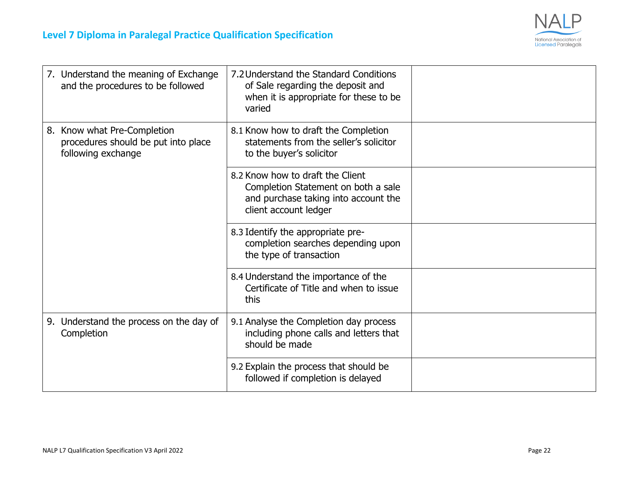

| 7. Understand the meaning of Exchange<br>and the procedures to be followed               | 7.2 Understand the Standard Conditions<br>of Sale regarding the deposit and<br>when it is appropriate for these to be<br>varied          |  |
|------------------------------------------------------------------------------------------|------------------------------------------------------------------------------------------------------------------------------------------|--|
| 8. Know what Pre-Completion<br>procedures should be put into place<br>following exchange | 8.1 Know how to draft the Completion<br>statements from the seller's solicitor<br>to the buyer's solicitor                               |  |
|                                                                                          | 8.2 Know how to draft the Client<br>Completion Statement on both a sale<br>and purchase taking into account the<br>client account ledger |  |
|                                                                                          | 8.3 Identify the appropriate pre-<br>completion searches depending upon<br>the type of transaction                                       |  |
|                                                                                          | 8.4 Understand the importance of the<br>Certificate of Title and when to issue<br>this                                                   |  |
| 9. Understand the process on the day of<br>Completion                                    | 9.1 Analyse the Completion day process<br>including phone calls and letters that<br>should be made                                       |  |
|                                                                                          | 9.2 Explain the process that should be<br>followed if completion is delayed                                                              |  |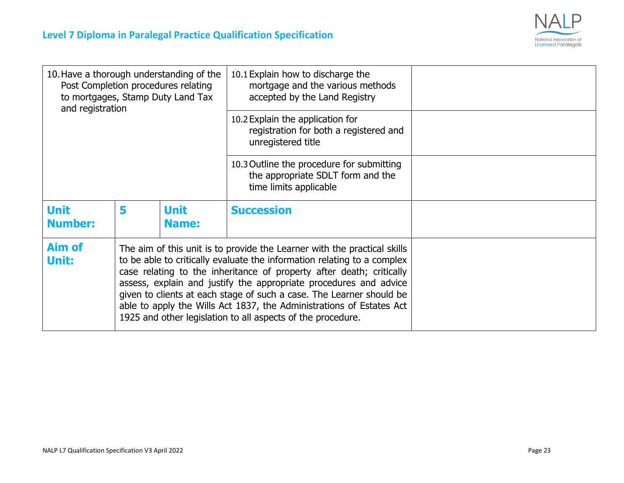

| 10. Have a thorough understanding of the<br>Post Completion procedures relating<br>to mortgages, Stamp Duty Land Tax<br>and registration |   |                                                                                                                                                                                                                                                                                                                                                                                                                                                                                                                 | 10.1 Explain how to discharge the<br>mortgage and the various methods<br>accepted by the Land Registry   |  |
|------------------------------------------------------------------------------------------------------------------------------------------|---|-----------------------------------------------------------------------------------------------------------------------------------------------------------------------------------------------------------------------------------------------------------------------------------------------------------------------------------------------------------------------------------------------------------------------------------------------------------------------------------------------------------------|----------------------------------------------------------------------------------------------------------|--|
|                                                                                                                                          |   |                                                                                                                                                                                                                                                                                                                                                                                                                                                                                                                 | 10.2 Explain the application for<br>registration for both a registered and<br>unregistered title         |  |
|                                                                                                                                          |   |                                                                                                                                                                                                                                                                                                                                                                                                                                                                                                                 | 10.3 Outline the procedure for submitting<br>the appropriate SDLT form and the<br>time limits applicable |  |
| <b>Unit</b><br><b>Number:</b>                                                                                                            | 5 | <b>Unit</b><br><b>Name:</b>                                                                                                                                                                                                                                                                                                                                                                                                                                                                                     | <b>Succession</b>                                                                                        |  |
| <b>Aim of</b><br>Unit:                                                                                                                   |   | The aim of this unit is to provide the Learner with the practical skills<br>to be able to critically evaluate the information relating to a complex<br>case relating to the inheritance of property after death; critically<br>assess, explain and justify the appropriate procedures and advice<br>given to clients at each stage of such a case. The Learner should be<br>able to apply the Wills Act 1837, the Administrations of Estates Act<br>1925 and other legislation to all aspects of the procedure. |                                                                                                          |  |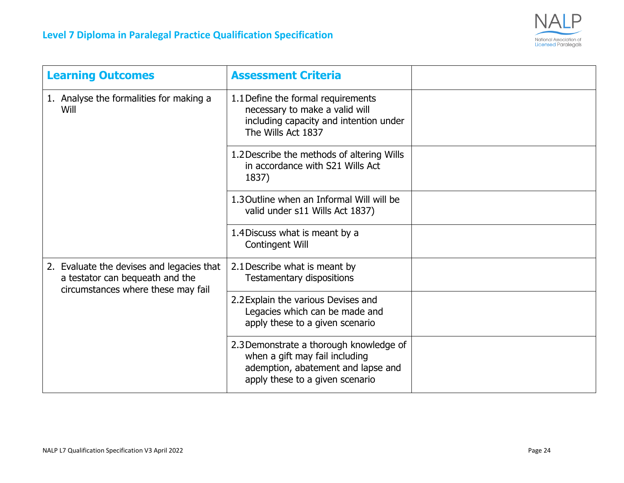

| <b>Learning Outcomes</b>                                                                                           | <b>Assessment Criteria</b>                                                                                                                         |  |
|--------------------------------------------------------------------------------------------------------------------|----------------------------------------------------------------------------------------------------------------------------------------------------|--|
| 1. Analyse the formalities for making a<br><b>Will</b>                                                             | 1.1 Define the formal requirements<br>necessary to make a valid will<br>including capacity and intention under<br>The Wills Act 1837               |  |
|                                                                                                                    | 1.2 Describe the methods of altering Wills<br>in accordance with S21 Wills Act<br>1837)                                                            |  |
|                                                                                                                    | 1.3 Outline when an Informal Will will be<br>valid under s11 Wills Act 1837)                                                                       |  |
|                                                                                                                    | 1.4 Discuss what is meant by a<br>Contingent Will                                                                                                  |  |
| 2. Evaluate the devises and legacies that<br>a testator can bequeath and the<br>circumstances where these may fail | 2.1 Describe what is meant by<br><b>Testamentary dispositions</b>                                                                                  |  |
|                                                                                                                    | 2.2 Explain the various Devises and<br>Legacies which can be made and<br>apply these to a given scenario                                           |  |
|                                                                                                                    | 2.3 Demonstrate a thorough knowledge of<br>when a gift may fail including<br>ademption, abatement and lapse and<br>apply these to a given scenario |  |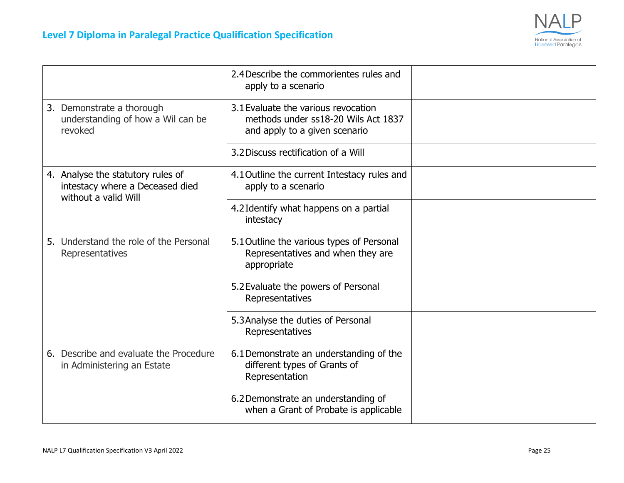

|                                                           |                                                                                              | 2.4 Describe the commorientes rules and<br>apply to a scenario                                              |  |
|-----------------------------------------------------------|----------------------------------------------------------------------------------------------|-------------------------------------------------------------------------------------------------------------|--|
| revoked                                                   | 3. Demonstrate a thorough<br>understanding of how a Wil can be                               | 3.1 Evaluate the various revocation<br>methods under ss18-20 Wils Act 1837<br>and apply to a given scenario |  |
|                                                           |                                                                                              | 3.2 Discuss rectification of a Will                                                                         |  |
|                                                           | 4. Analyse the statutory rules of<br>intestacy where a Deceased died<br>without a valid Will | 4.1 Outline the current Intestacy rules and<br>apply to a scenario                                          |  |
|                                                           |                                                                                              | 4.2 Identify what happens on a partial<br>intestacy                                                         |  |
| 5. Understand the role of the Personal<br>Representatives |                                                                                              | 5.1 Outline the various types of Personal<br>Representatives and when they are<br>appropriate               |  |
|                                                           |                                                                                              | 5.2 Evaluate the powers of Personal<br>Representatives                                                      |  |
|                                                           |                                                                                              | 5.3 Analyse the duties of Personal<br>Representatives                                                       |  |
|                                                           | 6. Describe and evaluate the Procedure<br>in Administering an Estate                         | 6.1 Demonstrate an understanding of the<br>different types of Grants of<br>Representation                   |  |
|                                                           |                                                                                              | 6.2 Demonstrate an understanding of<br>when a Grant of Probate is applicable                                |  |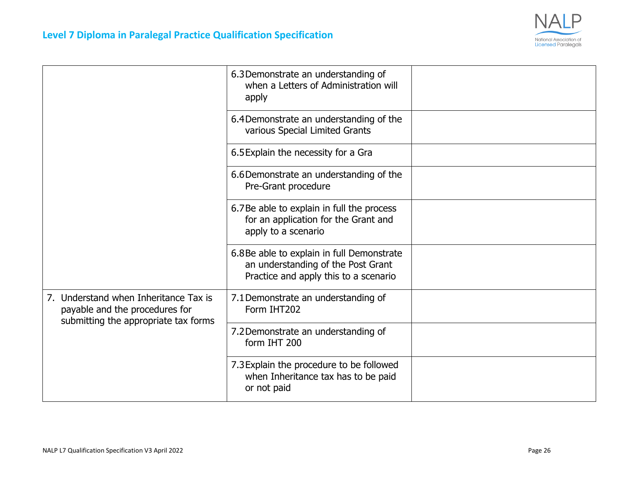

|                                                                                                                 | 6.3 Demonstrate an understanding of<br>when a Letters of Administration will<br>apply                                    |  |
|-----------------------------------------------------------------------------------------------------------------|--------------------------------------------------------------------------------------------------------------------------|--|
|                                                                                                                 | 6.4Demonstrate an understanding of the<br>various Special Limited Grants                                                 |  |
|                                                                                                                 | 6.5 Explain the necessity for a Gra                                                                                      |  |
|                                                                                                                 | 6.6 Demonstrate an understanding of the<br>Pre-Grant procedure                                                           |  |
|                                                                                                                 | 6.7Be able to explain in full the process<br>for an application for the Grant and<br>apply to a scenario                 |  |
|                                                                                                                 | 6.8Be able to explain in full Demonstrate<br>an understanding of the Post Grant<br>Practice and apply this to a scenario |  |
| 7. Understand when Inheritance Tax is<br>payable and the procedures for<br>submitting the appropriate tax forms | 7.1 Demonstrate an understanding of<br>Form IHT202                                                                       |  |
|                                                                                                                 | 7.2 Demonstrate an understanding of<br>form IHT 200                                                                      |  |
|                                                                                                                 | 7.3 Explain the procedure to be followed<br>when Inheritance tax has to be paid<br>or not paid                           |  |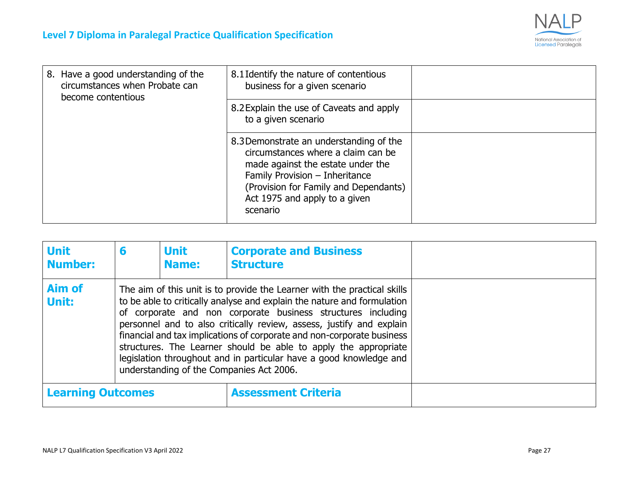

| 8. Have a good understanding of the<br>circumstances when Probate can<br>become contentious | 8.1 Identify the nature of contentious<br>business for a given scenario                                                                                                                                                                    |  |
|---------------------------------------------------------------------------------------------|--------------------------------------------------------------------------------------------------------------------------------------------------------------------------------------------------------------------------------------------|--|
|                                                                                             | 8.2 Explain the use of Caveats and apply<br>to a given scenario                                                                                                                                                                            |  |
|                                                                                             | 8.3 Demonstrate an understanding of the<br>circumstances where a claim can be<br>made against the estate under the<br>Family Provision - Inheritance<br>(Provision for Family and Dependants)<br>Act 1975 and apply to a given<br>scenario |  |

| <b>Unit</b><br><b>Number:</b> | 6                                                                                                                                                                                                                                                                                                                                                                                                                                                                                                                                                          | <b>Unit</b><br><b>Name:</b> | <b>Corporate and Business</b><br><b>Structure</b> |  |
|-------------------------------|------------------------------------------------------------------------------------------------------------------------------------------------------------------------------------------------------------------------------------------------------------------------------------------------------------------------------------------------------------------------------------------------------------------------------------------------------------------------------------------------------------------------------------------------------------|-----------------------------|---------------------------------------------------|--|
| Aim of<br>Unit:               | The aim of this unit is to provide the Learner with the practical skills<br>to be able to critically analyse and explain the nature and formulation<br>of corporate and non corporate business structures including<br>personnel and to also critically review, assess, justify and explain<br>financial and tax implications of corporate and non-corporate business<br>structures. The Learner should be able to apply the appropriate<br>legislation throughout and in particular have a good knowledge and<br>understanding of the Companies Act 2006. |                             |                                                   |  |
| <b>Learning Outcomes</b>      |                                                                                                                                                                                                                                                                                                                                                                                                                                                                                                                                                            | <b>Assessment Criteria</b>  |                                                   |  |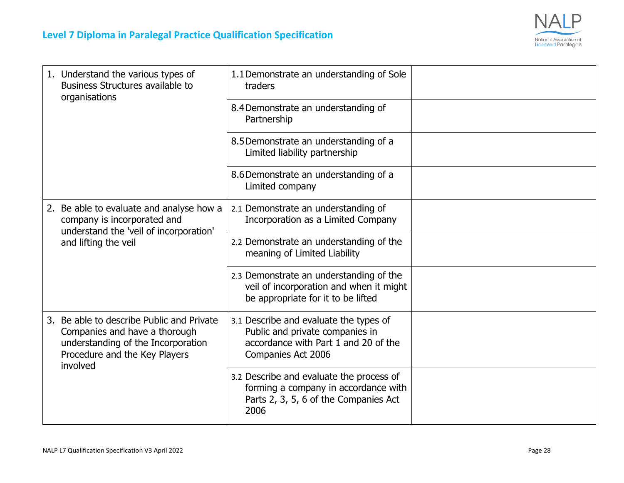

| 1. Understand the various types of<br>Business Structures available to<br>organisations                                                                       | 1.1 Demonstrate an understanding of Sole<br>traders                                                                                     |  |
|---------------------------------------------------------------------------------------------------------------------------------------------------------------|-----------------------------------------------------------------------------------------------------------------------------------------|--|
|                                                                                                                                                               | 8.4 Demonstrate an understanding of<br>Partnership                                                                                      |  |
|                                                                                                                                                               | 8.5 Demonstrate an understanding of a<br>Limited liability partnership                                                                  |  |
|                                                                                                                                                               | 8.6 Demonstrate an understanding of a<br>Limited company                                                                                |  |
| 2. Be able to evaluate and analyse how a<br>company is incorporated and<br>understand the 'veil of incorporation'<br>and lifting the veil                     | 2.1 Demonstrate an understanding of<br>Incorporation as a Limited Company                                                               |  |
|                                                                                                                                                               | 2.2 Demonstrate an understanding of the<br>meaning of Limited Liability                                                                 |  |
|                                                                                                                                                               | 2.3 Demonstrate an understanding of the<br>veil of incorporation and when it might<br>be appropriate for it to be lifted                |  |
| 3. Be able to describe Public and Private<br>Companies and have a thorough<br>understanding of the Incorporation<br>Procedure and the Key Players<br>involved | 3.1 Describe and evaluate the types of<br>Public and private companies in<br>accordance with Part 1 and 20 of the<br>Companies Act 2006 |  |
|                                                                                                                                                               | 3.2 Describe and evaluate the process of<br>forming a company in accordance with<br>Parts 2, 3, 5, 6 of the Companies Act<br>2006       |  |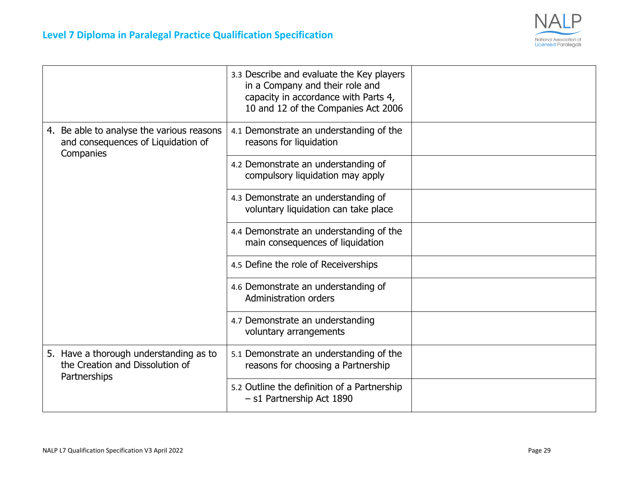

|                                                                                              | 3.3 Describe and evaluate the Key players<br>in a Company and their role and<br>capacity in accordance with Parts 4,<br>10 and 12 of the Companies Act 2006 |  |
|----------------------------------------------------------------------------------------------|-------------------------------------------------------------------------------------------------------------------------------------------------------------|--|
| 4. Be able to analyse the various reasons<br>and consequences of Liquidation of<br>Companies | 4.1 Demonstrate an understanding of the<br>reasons for liquidation                                                                                          |  |
|                                                                                              | 4.2 Demonstrate an understanding of<br>compulsory liquidation may apply                                                                                     |  |
|                                                                                              | 4.3 Demonstrate an understanding of<br>voluntary liquidation can take place                                                                                 |  |
|                                                                                              | 4.4 Demonstrate an understanding of the<br>main consequences of liquidation                                                                                 |  |
|                                                                                              | 4.5 Define the role of Receiverships                                                                                                                        |  |
|                                                                                              | 4.6 Demonstrate an understanding of<br><b>Administration orders</b>                                                                                         |  |
|                                                                                              | 4.7 Demonstrate an understanding<br>voluntary arrangements                                                                                                  |  |
| 5. Have a thorough understanding as to<br>the Creation and Dissolution of<br>Partnerships    | 5.1 Demonstrate an understanding of the<br>reasons for choosing a Partnership                                                                               |  |
|                                                                                              | 5.2 Outline the definition of a Partnership<br>- s1 Partnership Act 1890                                                                                    |  |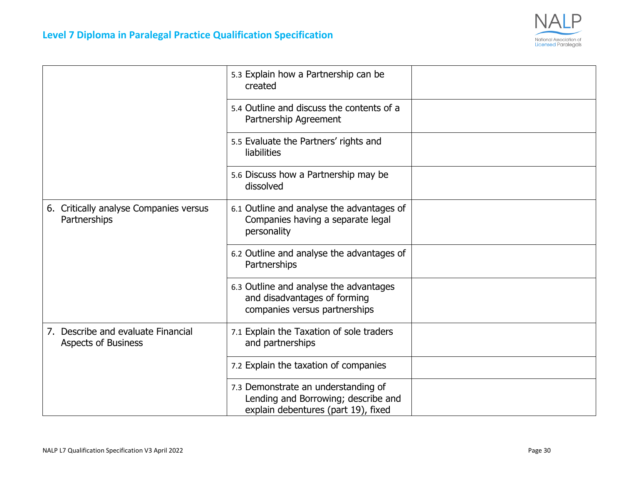

|                                                                  | 5.3 Explain how a Partnership can be<br>created                                                                   |  |
|------------------------------------------------------------------|-------------------------------------------------------------------------------------------------------------------|--|
|                                                                  | 5.4 Outline and discuss the contents of a<br>Partnership Agreement                                                |  |
|                                                                  | 5.5 Evaluate the Partners' rights and<br>liabilities                                                              |  |
|                                                                  | 5.6 Discuss how a Partnership may be<br>dissolved                                                                 |  |
| 6. Critically analyse Companies versus<br>Partnerships           | 6.1 Outline and analyse the advantages of<br>Companies having a separate legal<br>personality                     |  |
|                                                                  | 6.2 Outline and analyse the advantages of<br>Partnerships                                                         |  |
|                                                                  | 6.3 Outline and analyse the advantages<br>and disadvantages of forming<br>companies versus partnerships           |  |
| 7. Describe and evaluate Financial<br><b>Aspects of Business</b> | 7.1 Explain the Taxation of sole traders<br>and partnerships                                                      |  |
|                                                                  | 7.2 Explain the taxation of companies                                                                             |  |
|                                                                  | 7.3 Demonstrate an understanding of<br>Lending and Borrowing; describe and<br>explain debentures (part 19), fixed |  |